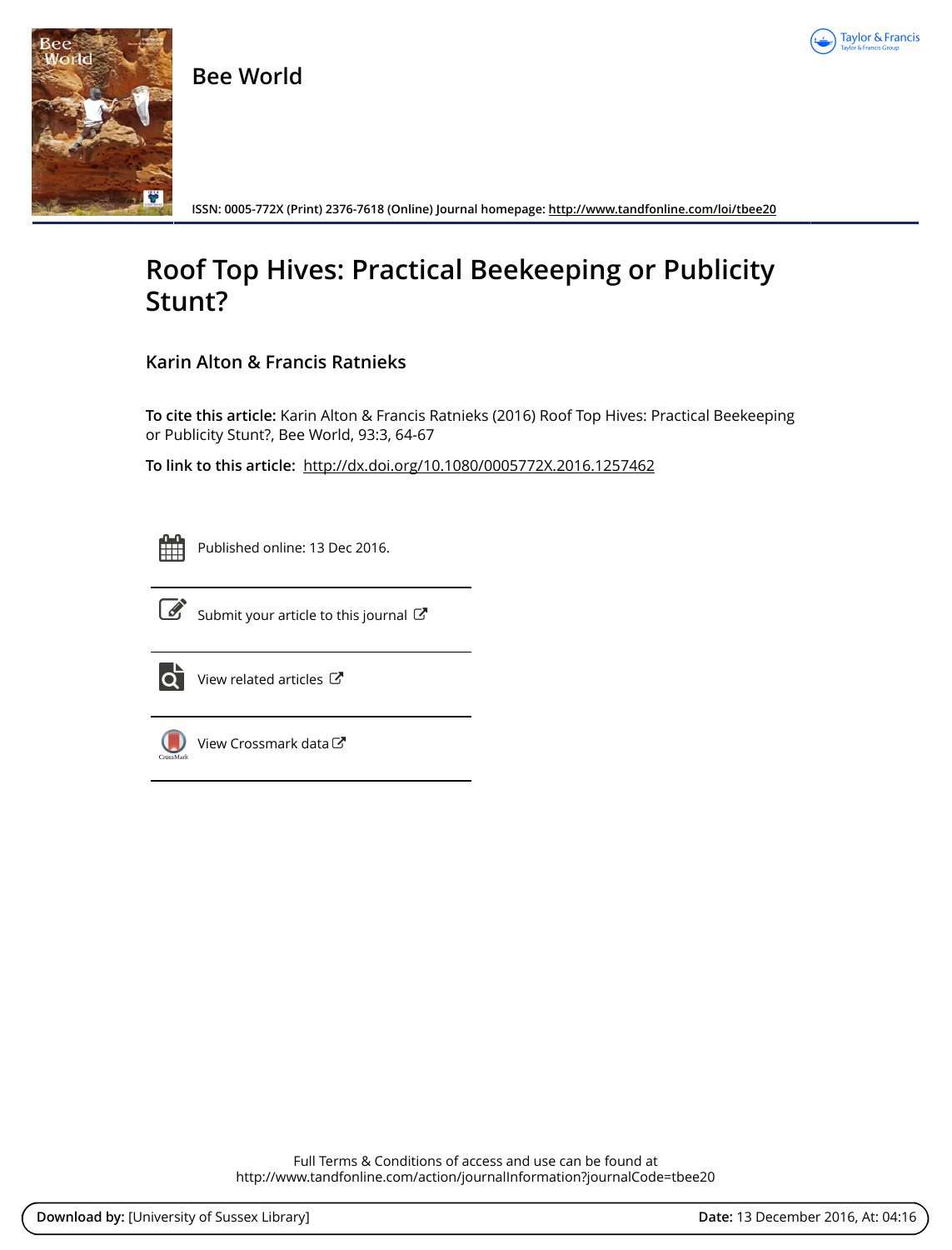

**Bee World**



**ISSN: 0005-772X (Print) 2376-7618 (Online) Journal homepage: <http://www.tandfonline.com/loi/tbee20>**

## **Roof Top Hives: Practical Beekeeping or Publicity Stunt?**

**Karin Alton & Francis Ratnieks**

**To cite this article:** Karin Alton & Francis Ratnieks (2016) Roof Top Hives: Practical Beekeeping or Publicity Stunt?, Bee World, 93:3, 64-67

**To link to this article:** <http://dx.doi.org/10.1080/0005772X.2016.1257462>



Published online: 13 Dec 2016.



 $\overrightarrow{S}$  [Submit your article to this journal](http://www.tandfonline.com/action/authorSubmission?journalCode=tbee20&show=instructions)  $\overrightarrow{S}$ 



 $\overrightarrow{Q}$  [View related articles](http://www.tandfonline.com/doi/mlt/10.1080/0005772X.2016.1257462)  $\overrightarrow{C}$ 



[View Crossmark data](http://crossmark.crossref.org/dialog/?doi=10.1080/0005772X.2016.1257462&domain=pdf&date_stamp=2016-12-13)

Full Terms & Conditions of access and use can be found at <http://www.tandfonline.com/action/journalInformation?journalCode=tbee20>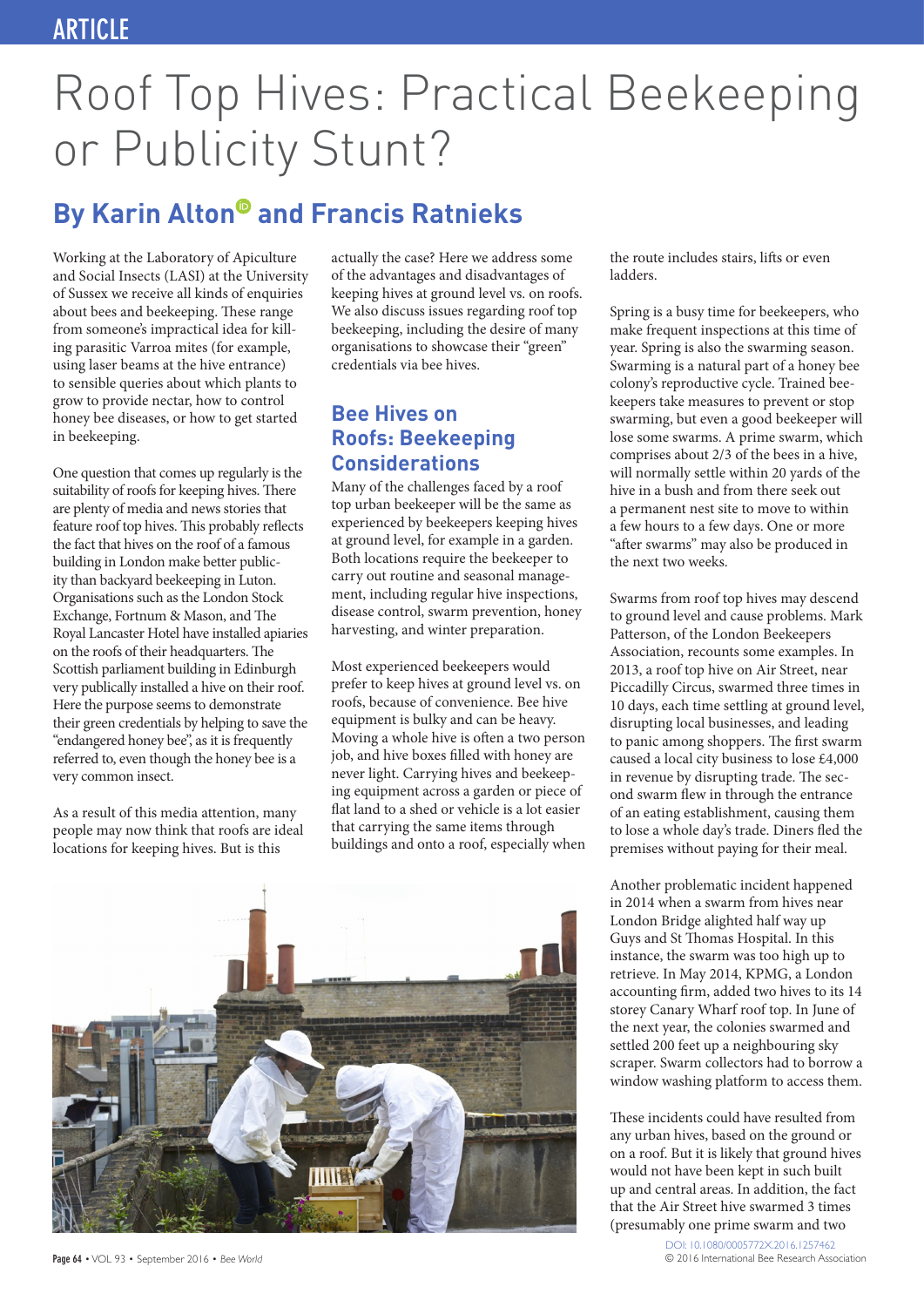# Roof Top Hives: Practical Beekeeping or Publicity Stunt?

## **By Kari[n](http://orcid.org/0000-0002-7870-4804) Alton<sup>®</sup> and Francis Ratnieks**

Working at the Laboratory of Apiculture and Social Insects (LASI) at the University of Sussex we receive all kinds of enquiries about bees and beekeeping. These range from someone's impractical idea for killing parasitic Varroa mites (for example, using laser beams at the hive entrance) to sensible queries about which plants to grow to provide nectar, how to control honey bee diseases, or how to get started in beekeeping.

One question that comes up regularly is the suitability of roofs for keeping hives. There are plenty of media and news stories that feature roof top hives. This probably reflects the fact that hives on the roof of a famous building in London make better publicity than backyard beekeeping in Luton. Organisations such as the London Stock Exchange, Fortnum & Mason, and The Royal Lancaster Hotel have installed apiaries on the roofs of their headquarters. The Scottish parliament building in Edinburgh very publically installed a hive on their roof. Here the purpose seems to demonstrate their green credentials by helping to save the "endangered honey bee", as it is frequently referred to, even though the honey bee is a very common insect.

As a result of this media attention, many people may now think that roofs are ideal locations for keeping hives. But is this

actually the case? Here we address some of the advantages and disadvantages of keeping hives at ground level vs. on roofs. We also discuss issues regarding roof top beekeeping, including the desire of many organisations to showcase their "green" credentials via bee hives.

### **Bee Hives on Roofs: Beekeeping Considerations**

Many of the challenges faced by a roof top urban beekeeper will be the same as experienced by beekeepers keeping hives at ground level, for example in a garden. Both locations require the beekeeper to carry out routine and seasonal management, including regular hive inspections, disease control, swarm prevention, honey harvesting, and winter preparation.

Most experienced beekeepers would prefer to keep hives at ground level vs. on roofs, because of convenience. Bee hive equipment is bulky and can be heavy. Moving a whole hive is often a two person job, and hive boxes filled with honey are never light. Carrying hives and beekeeping equipment across a garden or piece of flat land to a shed or vehicle is a lot easier that carrying the same items through buildings and onto a roof, especially when



Page 64 • VOL 93 • September 2016 • *Bee World*

the route includes stairs, lifts or even ladders.

Spring is a busy time for beekeepers, who make frequent inspections at this time of year. Spring is also the swarming season. Swarming is a natural part of a honey bee colony's reproductive cycle. Trained beekeepers take measures to prevent or stop swarming, but even a good beekeeper will lose some swarms. A prime swarm, which comprises about 2/3 of the bees in a hive, will normally settle within 20 yards of the hive in a bush and from there seek out a permanent nest site to move to within a few hours to a few days. One or more "after swarms" may also be produced in the next two weeks.

Swarms from roof top hives may descend to ground level and cause problems. Mark Patterson, of the London Beekeepers Association, recounts some examples. In 2013, a roof top hive on Air Street, near Piccadilly Circus, swarmed three times in 10 days, each time settling at ground level, disrupting local businesses, and leading to panic among shoppers. The first swarm caused a local city business to lose £4,000 in revenue by disrupting trade. The second swarm flew in through the entrance of an eating establishment, causing them to lose a whole day's trade. Diners fled the premises without paying for their meal.

Another problematic incident happened in 2014 when a swarm from hives near London Bridge alighted half way up Guys and St Thomas Hospital. In this instance, the swarm was too high up to retrieve. In May 2014, KPMG, a London accounting firm, added two hives to its 14 storey Canary Wharf roof top. In June of the next year, the colonies swarmed and settled 200 feet up a neighbouring sky scraper. Swarm collectors had to borrow a window washing platform to access them.

These incidents could have resulted from any urban hives, based on the ground or on a roof. But it is likely that ground hives would not have been kept in such built up and central areas. In addition, the fact that the Air Street hive swarmed 3 times (presumably one prime swarm and two

> © 2016 International Bee Research Association DOI: 10.1080/0005772X.2016.1257462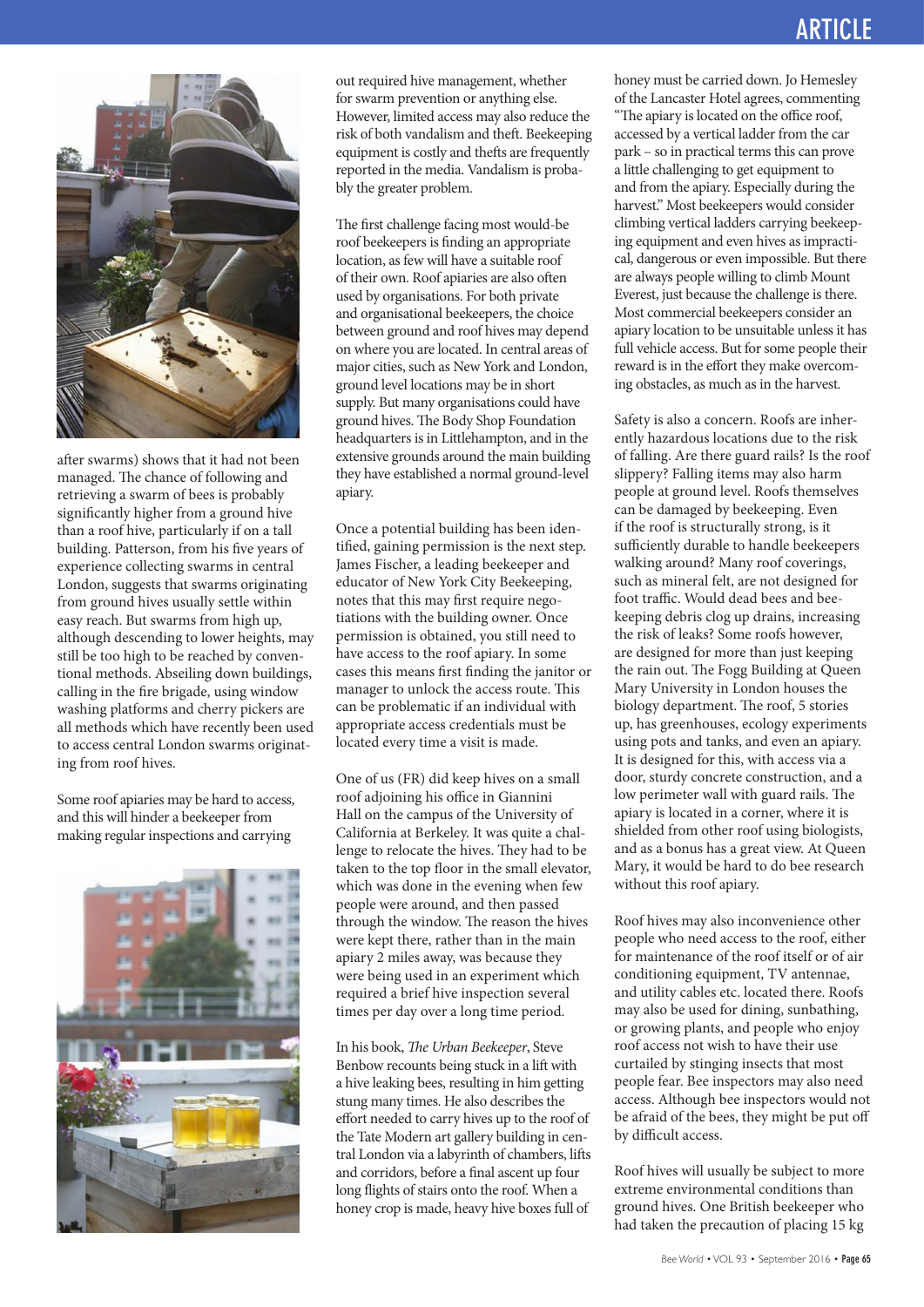## ARTICLE



after swarms) shows that it had not been managed. The chance of following and retrieving a swarm of bees is probably significantly higher from a ground hive than a roof hive, particularly if on a tall building. Patterson, from his five years of experience collecting swarms in central London, suggests that swarms originating from ground hives usually settle within easy reach. But swarms from high up, although descending to lower heights, may still be too high to be reached by conventional methods. Abseiling down buildings, calling in the fire brigade, using window washing platforms and cherry pickers are all methods which have recently been used to access central London swarms originating from roof hives.

Some roof apiaries may be hard to access, and this will hinder a beekeeper from making regular inspections and carrying



out required hive management, whether for swarm prevention or anything else. However, limited access may also reduce the risk of both vandalism and theft. Beekeeping equipment is costly and thefts are frequently reported in the media. Vandalism is probably the greater problem.

The first challenge facing most would-be roof beekeepers is finding an appropriate location, as few will have a suitable roof of their own. Roof apiaries are also often used by organisations. For both private and organisational beekeepers, the choice between ground and roof hives may depend on where you are located. In central areas of major cities, such as New York and London, ground level locations may be in short supply. But many organisations could have ground hives. The Body Shop Foundation headquarters is in Littlehampton, and in the extensive grounds around the main building they have established a normal ground-level apiary.

Once a potential building has been identified, gaining permission is the next step. James Fischer, a leading beekeeper and educator of New York City Beekeeping, notes that this may first require negotiations with the building owner. Once permission is obtained, you still need to have access to the roof apiary. In some cases this means first finding the janitor or manager to unlock the access route. This can be problematic if an individual with appropriate access credentials must be located every time a visit is made.

One of us (FR) did keep hives on a small roof adjoining his office in Giannini Hall on the campus of the University of California at Berkeley. It was quite a challenge to relocate the hives. They had to be taken to the top floor in the small elevator, which was done in the evening when few people were around, and then passed through the window. The reason the hives were kept there, rather than in the main apiary 2 miles away, was because they were being used in an experiment which required a brief hive inspection several times per day over a long time period.

In his book, *The Urban Beekeeper*, Steve Benbow recounts being stuck in a lift with a hive leaking bees, resulting in him getting stung many times. He also describes the effort needed to carry hives up to the roof of the Tate Modern art gallery building in central London via a labyrinth of chambers, lifts and corridors, before a final ascent up four long flights of stairs onto the roof. When a honey crop is made, heavy hive boxes full of

honey must be carried down. Jo Hemesley of the Lancaster Hotel agrees, commenting "The apiary is located on the office roof, accessed by a vertical ladder from the car park – so in practical terms this can prove a little challenging to get equipment to and from the apiary. Especially during the harvest." Most beekeepers would consider climbing vertical ladders carrying beekeeping equipment and even hives as impractical, dangerous or even impossible. But there are always people willing to climb Mount Everest, just because the challenge is there. Most commercial beekeepers consider an apiary location to be unsuitable unless it has full vehicle access. But for some people their reward is in the effort they make overcoming obstacles, as much as in the harvest.

Safety is also a concern. Roofs are inherently hazardous locations due to the risk of falling. Are there guard rails? Is the roof slippery? Falling items may also harm people at ground level. Roofs themselves can be damaged by beekeeping. Even if the roof is structurally strong, is it sufficiently durable to handle beekeepers walking around? Many roof coverings, such as mineral felt, are not designed for foot traffic. Would dead bees and beekeeping debris clog up drains, increasing the risk of leaks? Some roofs however, are designed for more than just keeping the rain out. The Fogg Building at Queen Mary University in London houses the biology department. The roof, 5 stories up, has greenhouses, ecology experiments using pots and tanks, and even an apiary. It is designed for this, with access via a door, sturdy concrete construction, and a low perimeter wall with guard rails. The apiary is located in a corner, where it is shielded from other roof using biologists, and as a bonus has a great view. At Queen Mary, it would be hard to do bee research without this roof apiary.

Roof hives may also inconvenience other people who need access to the roof, either for maintenance of the roof itself or of air conditioning equipment, TV antennae, and utility cables etc. located there. Roofs may also be used for dining, sunbathing, or growing plants, and people who enjoy roof access not wish to have their use curtailed by stinging insects that most people fear. Bee inspectors may also need access. Although bee inspectors would not be afraid of the bees, they might be put off by difficult access.

Roof hives will usually be subject to more extreme environmental conditions than ground hives. One British beekeeper who had taken the precaution of placing 15 kg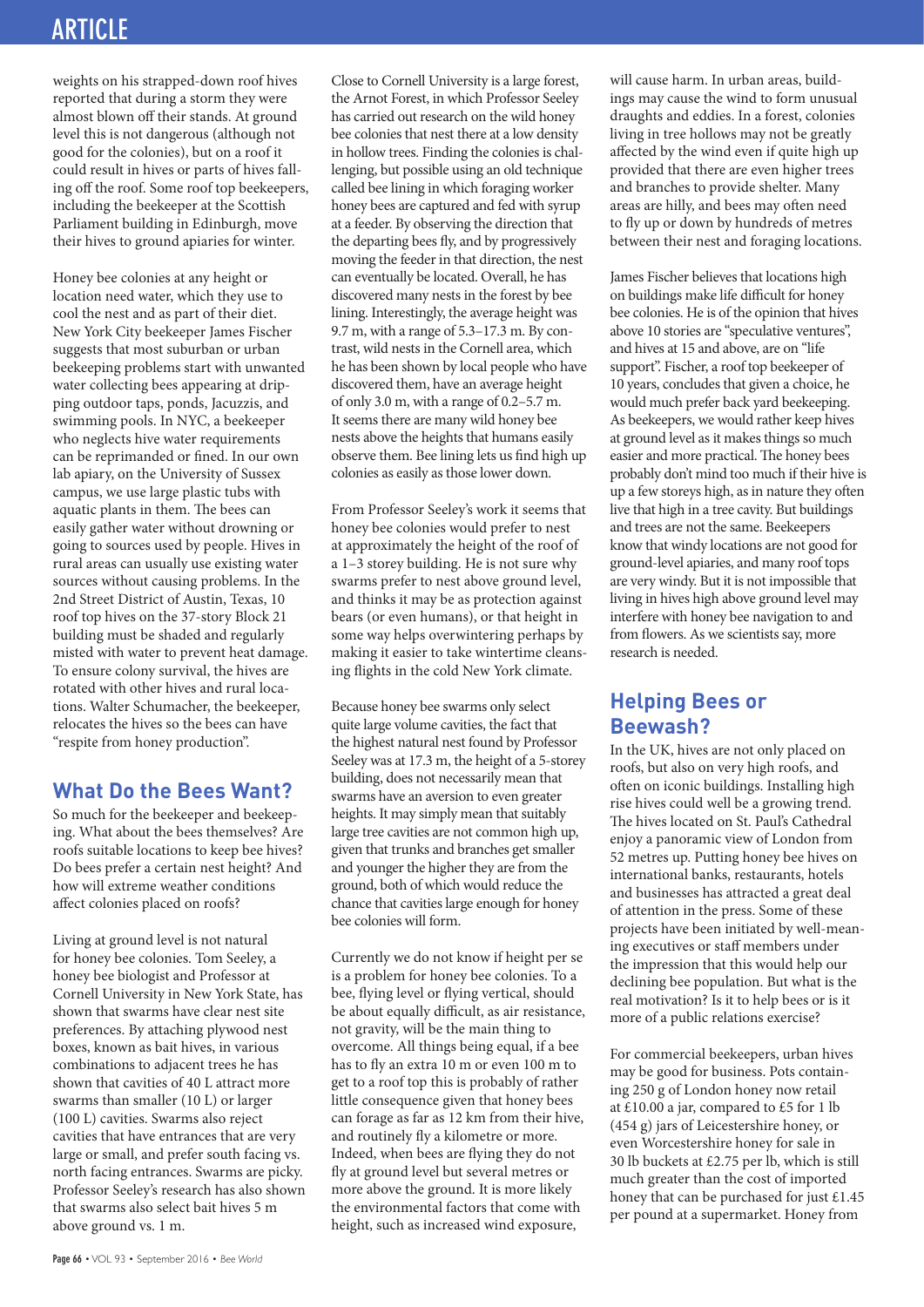## ARTICLE

weights on his strapped-down roof hives reported that during a storm they were almost blown off their stands. At ground level this is not dangerous (although not good for the colonies), but on a roof it could result in hives or parts of hives falling off the roof. Some roof top beekeepers, including the beekeeper at the Scottish Parliament building in Edinburgh, move their hives to ground apiaries for winter.

Honey bee colonies at any height or location need water, which they use to cool the nest and as part of their diet. New York City beekeeper James Fischer suggests that most suburban or urban beekeeping problems start with unwanted water collecting bees appearing at dripping outdoor taps, ponds, Jacuzzis, and swimming pools. In NYC, a beekeeper who neglects hive water requirements can be reprimanded or fined. In our own lab apiary, on the University of Sussex campus, we use large plastic tubs with aquatic plants in them. The bees can easily gather water without drowning or going to sources used by people. Hives in rural areas can usually use existing water sources without causing problems. In the 2nd Street District of Austin, Texas, 10 roof top hives on the 37-story Block 21 building must be shaded and regularly misted with water to prevent heat damage. To ensure colony survival, the hives are rotated with other hives and rural locations. Walter Schumacher, the beekeeper, relocates the hives so the bees can have "respite from honey production".

#### **What Do the Bees Want?**

So much for the beekeeper and beekeeping. What about the bees themselves? Are roofs suitable locations to keep bee hives? Do bees prefer a certain nest height? And how will extreme weather conditions affect colonies placed on roofs?

Living at ground level is not natural for honey bee colonies. Tom Seeley, a honey bee biologist and Professor at Cornell University in New York State, has shown that swarms have clear nest site preferences. By attaching plywood nest boxes, known as bait hives, in various combinations to adjacent trees he has shown that cavities of 40 L attract more swarms than smaller (10 L) or larger (100 L) cavities. Swarms also reject cavities that have entrances that are very large or small, and prefer south facing vs. north facing entrances. Swarms are picky. Professor Seeley's research has also shown that swarms also select bait hives 5 m above ground vs. 1 m.

Close to Cornell University is a large forest, the Arnot Forest, in which Professor Seeley has carried out research on the wild honey bee colonies that nest there at a low density in hollow trees. Finding the colonies is challenging, but possible using an old technique called bee lining in which foraging worker honey bees are captured and fed with syrup at a feeder. By observing the direction that the departing bees fly, and by progressively moving the feeder in that direction, the nest can eventually be located. Overall, he has discovered many nests in the forest by bee lining. Interestingly, the average height was 9.7 m, with a range of 5.3–17.3 m. By contrast, wild nests in the Cornell area, which he has been shown by local people who have discovered them, have an average height of only 3.0 m, with a range of 0.2–5.7 m. It seems there are many wild honey bee nests above the heights that humans easily observe them. Bee lining lets us find high up colonies as easily as those lower down.

From Professor Seeley's work it seems that honey bee colonies would prefer to nest at approximately the height of the roof of a 1–3 storey building. He is not sure why swarms prefer to nest above ground level, and thinks it may be as protection against bears (or even humans), or that height in some way helps overwintering perhaps by making it easier to take wintertime cleansing flights in the cold New York climate.

Because honey bee swarms only select quite large volume cavities, the fact that the highest natural nest found by Professor Seeley was at 17.3 m, the height of a 5-storey building, does not necessarily mean that swarms have an aversion to even greater heights. It may simply mean that suitably large tree cavities are not common high up, given that trunks and branches get smaller and younger the higher they are from the ground, both of which would reduce the chance that cavities large enough for honey bee colonies will form.

Currently we do not know if height per se is a problem for honey bee colonies. To a bee, flying level or flying vertical, should be about equally difficult, as air resistance, not gravity, will be the main thing to overcome. All things being equal, if a bee has to fly an extra 10 m or even 100 m to get to a roof top this is probably of rather little consequence given that honey bees can forage as far as 12 km from their hive, and routinely fly a kilometre or more. Indeed, when bees are flying they do not fly at ground level but several metres or more above the ground. It is more likely the environmental factors that come with height, such as increased wind exposure,

will cause harm. In urban areas, buildings may cause the wind to form unusual draughts and eddies. In a forest, colonies living in tree hollows may not be greatly affected by the wind even if quite high up provided that there are even higher trees and branches to provide shelter. Many areas are hilly, and bees may often need to fly up or down by hundreds of metres between their nest and foraging locations.

James Fischer believes that locations high on buildings make life difficult for honey bee colonies. He is of the opinion that hives above 10 stories are "speculative ventures", and hives at 15 and above, are on "life support". Fischer, a roof top beekeeper of 10 years, concludes that given a choice, he would much prefer back yard beekeeping. As beekeepers, we would rather keep hives at ground level as it makes things so much easier and more practical. The honey bees probably don't mind too much if their hive is up a few storeys high, as in nature they often live that high in a tree cavity. But buildings and trees are not the same. Beekeepers know that windy locations are not good for ground-level apiaries, and many roof tops are very windy. But it is not impossible that living in hives high above ground level may interfere with honey bee navigation to and from flowers. As we scientists say, more research is needed.

### **Helping Bees or Beewash?**

In the UK, hives are not only placed on roofs, but also on very high roofs, and often on iconic buildings. Installing high rise hives could well be a growing trend. The hives located on St. Paul's Cathedral enjoy a panoramic view of London from 52 metres up. Putting honey bee hives on international banks, restaurants, hotels and businesses has attracted a great deal of attention in the press. Some of these projects have been initiated by well-meaning executives or staff members under the impression that this would help our declining bee population. But what is the real motivation? Is it to help bees or is it more of a public relations exercise?

For commercial beekeepers, urban hives may be good for business. Pots containing 250 g of London honey now retail at £10.00 a jar, compared to £5 for 1 lb (454 g) jars of Leicestershire honey, or even Worcestershire honey for sale in 30 lb buckets at £2.75 per lb, which is still much greater than the cost of imported honey that can be purchased for just £1.45 per pound at a supermarket. Honey from